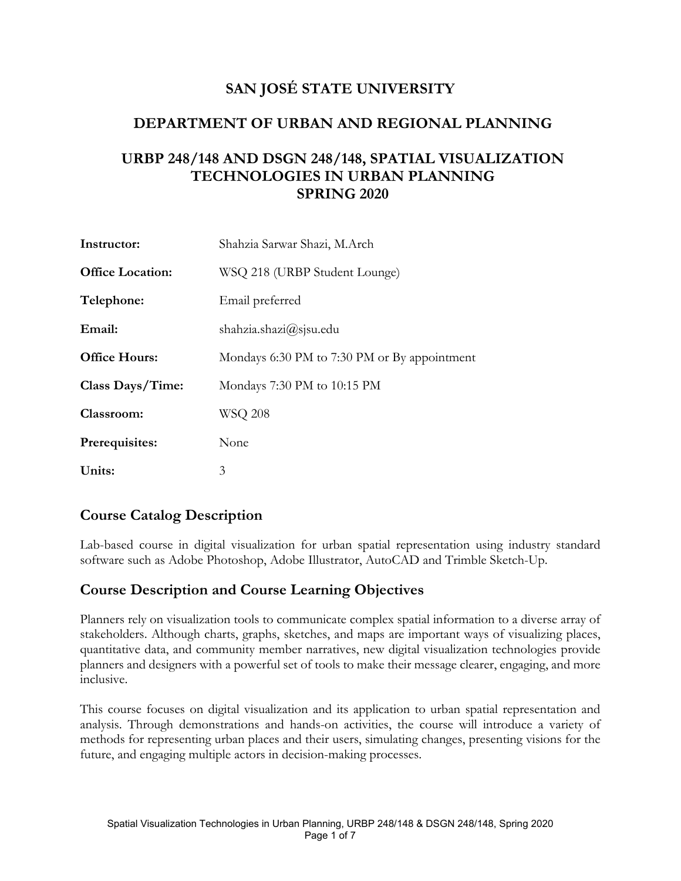## **SAN JOSÉ STATE UNIVERSITY**

### **DEPARTMENT OF URBAN AND REGIONAL PLANNING**

### **URBP 248/148 AND DSGN 248/148, SPATIAL VISUALIZATION TECHNOLOGIES IN URBAN PLANNING SPRING 2020**

| Instructor:             | Shahzia Sarwar Shazi, M.Arch                 |
|-------------------------|----------------------------------------------|
| <b>Office Location:</b> | WSQ 218 (URBP Student Lounge)                |
| Telephone:              | Email preferred                              |
| Email:                  | shahzia.shazi $\omega$ sjsu.edu              |
| <b>Office Hours:</b>    | Mondays 6:30 PM to 7:30 PM or By appointment |
| Class Days/Time:        | Mondays 7:30 PM to 10:15 PM                  |
| Classroom:              | WSQ 208                                      |
| Prerequisites:          | None                                         |
| Units:                  | 3                                            |

### **Course Catalog Description**

Lab-based course in digital visualization for urban spatial representation using industry standard software such as Adobe Photoshop, Adobe Illustrator, AutoCAD and Trimble Sketch-Up.

### **Course Description and Course Learning Objectives**

Planners rely on visualization tools to communicate complex spatial information to a diverse array of stakeholders. Although charts, graphs, sketches, and maps are important ways of visualizing places, quantitative data, and community member narratives, new digital visualization technologies provide planners and designers with a powerful set of tools to make their message clearer, engaging, and more inclusive.

This course focuses on digital visualization and its application to urban spatial representation and analysis. Through demonstrations and hands-on activities, the course will introduce a variety of methods for representing urban places and their users, simulating changes, presenting visions for the future, and engaging multiple actors in decision-making processes.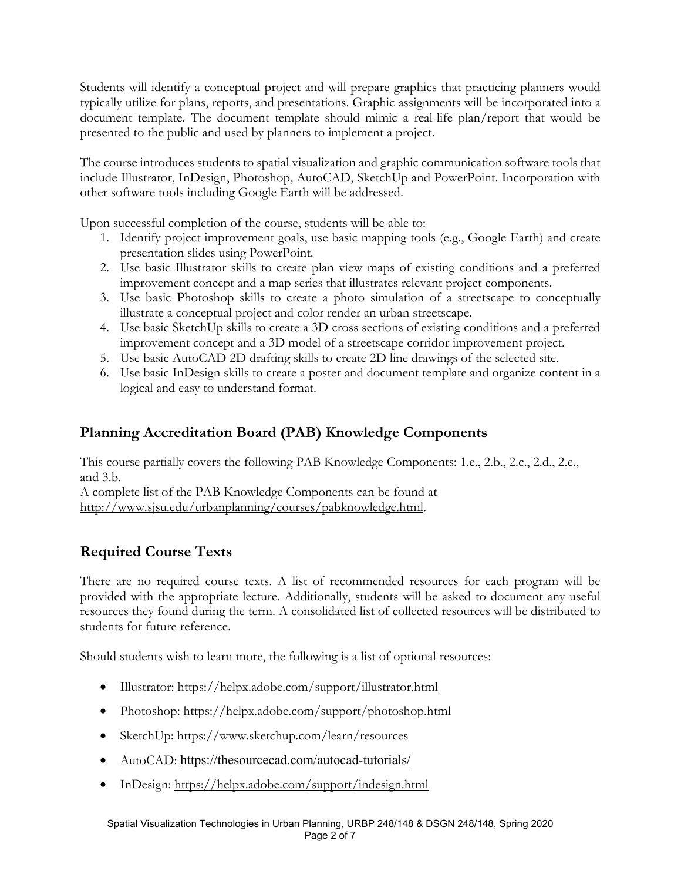Students will identify a conceptual project and will prepare graphics that practicing planners would typically utilize for plans, reports, and presentations. Graphic assignments will be incorporated into a document template. The document template should mimic a real-life plan/report that would be presented to the public and used by planners to implement a project.

The course introduces students to spatial visualization and graphic communication software tools that include Illustrator, InDesign, Photoshop, AutoCAD, SketchUp and PowerPoint. Incorporation with other software tools including Google Earth will be addressed.

Upon successful completion of the course, students will be able to:

- 1. Identify project improvement goals, use basic mapping tools (e.g., Google Earth) and create presentation slides using PowerPoint.
- 2. Use basic Illustrator skills to create plan view maps of existing conditions and a preferred improvement concept and a map series that illustrates relevant project components.
- 3. Use basic Photoshop skills to create a photo simulation of a streetscape to conceptually illustrate a conceptual project and color render an urban streetscape.
- 4. Use basic SketchUp skills to create a 3D cross sections of existing conditions and a preferred improvement concept and a 3D model of a streetscape corridor improvement project.
- 5. Use basic AutoCAD 2D drafting skills to create 2D line drawings of the selected site.
- 6. Use basic InDesign skills to create a poster and document template and organize content in a logical and easy to understand format.

## **Planning Accreditation Board (PAB) Knowledge Components**

This course partially covers the following PAB Knowledge Components: 1.e., 2.b., 2.c., 2.d., 2.e., and 3.b.

A complete list of the PAB Knowledge Components can be found at http://www.sjsu.edu/urbanplanning/courses/pabknowledge.html.

## **Required Course Texts**

There are no required course texts. A list of recommended resources for each program will be provided with the appropriate lecture. Additionally, students will be asked to document any useful resources they found during the term. A consolidated list of collected resources will be distributed to students for future reference.

Should students wish to learn more, the following is a list of optional resources:

- Illustrator: https://helpx.adobe.com/support/illustrator.html
- Photoshop: https://helpx.adobe.com/support/photoshop.html
- SketchUp: https://www.sketchup.com/learn/resources
- AutoCAD: https://thesourcecad.com/autocad-tutorials/
- InDesign: https://helpx.adobe.com/support/indesign.html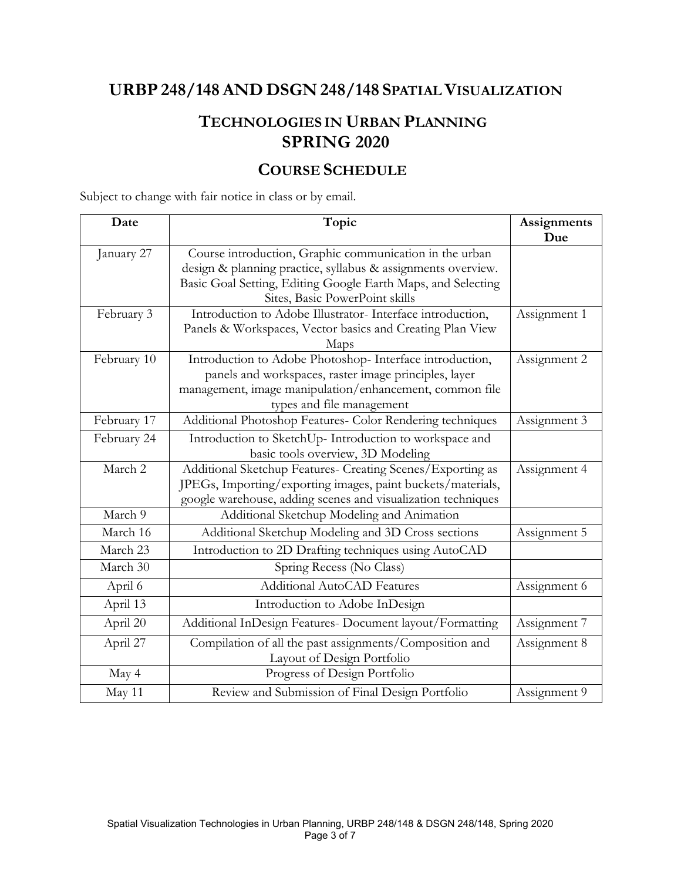# **URBP 248/148 AND DSGN 248/148 SPATIAL VISUALIZATION**

# **TECHNOLOGIES IN URBAN PLANNING SPRING 2020**

## **COURSE SCHEDULE**

Subject to change with fair notice in class or by email.

| Date        | Topic                                                        | Assignments  |
|-------------|--------------------------------------------------------------|--------------|
|             |                                                              | Due          |
| January 27  | Course introduction, Graphic communication in the urban      |              |
|             | design & planning practice, syllabus & assignments overview. |              |
|             | Basic Goal Setting, Editing Google Earth Maps, and Selecting |              |
|             | Sites, Basic PowerPoint skills                               |              |
| February 3  | Introduction to Adobe Illustrator- Interface introduction,   | Assignment 1 |
|             | Panels & Workspaces, Vector basics and Creating Plan View    |              |
|             | Maps                                                         |              |
| February 10 | Introduction to Adobe Photoshop- Interface introduction,     | Assignment 2 |
|             | panels and workspaces, raster image principles, layer        |              |
|             | management, image manipulation/enhancement, common file      |              |
|             | types and file management                                    |              |
| February 17 | Additional Photoshop Features- Color Rendering techniques    | Assignment 3 |
| February 24 | Introduction to SketchUp- Introduction to workspace and      |              |
|             | basic tools overview, 3D Modeling                            |              |
| March 2     | Additional Sketchup Features- Creating Scenes/Exporting as   | Assignment 4 |
|             | JPEGs, Importing/exporting images, paint buckets/materials,  |              |
|             | google warehouse, adding scenes and visualization techniques |              |
| March 9     | Additional Sketchup Modeling and Animation                   |              |
| March 16    | Additional Sketchup Modeling and 3D Cross sections           | Assignment 5 |
| March 23    | Introduction to 2D Drafting techniques using AutoCAD         |              |
| March 30    | Spring Recess (No Class)                                     |              |
| April 6     | Additional AutoCAD Features                                  | Assignment 6 |
| April 13    | Introduction to Adobe InDesign                               |              |
| April 20    | Additional InDesign Features- Document layout/Formatting     | Assignment 7 |
| April 27    | Compilation of all the past assignments/Composition and      | Assignment 8 |
|             | Layout of Design Portfolio                                   |              |
| May 4       | Progress of Design Portfolio                                 |              |
| May 11      | Review and Submission of Final Design Portfolio              | Assignment 9 |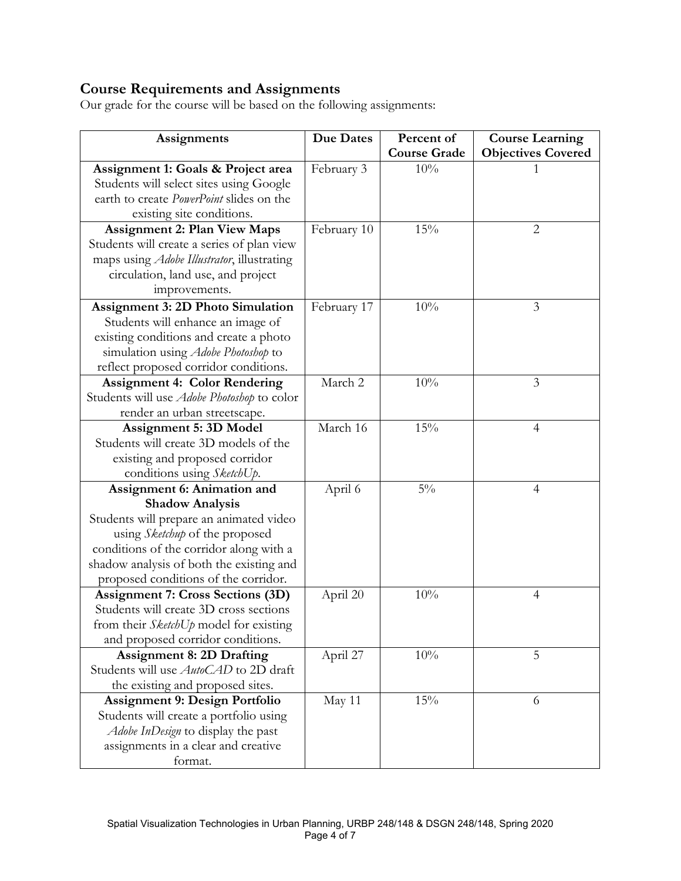# **Course Requirements and Assignments**

Our grade for the course will be based on the following assignments:

| Assignments                                        | <b>Due Dates</b> | Percent of          | <b>Course Learning</b>    |  |
|----------------------------------------------------|------------------|---------------------|---------------------------|--|
|                                                    |                  | <b>Course Grade</b> | <b>Objectives Covered</b> |  |
| Assignment 1: Goals & Project area                 | February 3       | 10%                 |                           |  |
| Students will select sites using Google            |                  |                     |                           |  |
| earth to create PowerPoint slides on the           |                  |                     |                           |  |
| existing site conditions.                          |                  |                     |                           |  |
| <b>Assignment 2: Plan View Maps</b>                | February 10      | 15%                 | 2                         |  |
| Students will create a series of plan view         |                  |                     |                           |  |
| maps using <i>Adobe Illustrator</i> , illustrating |                  |                     |                           |  |
| circulation, land use, and project                 |                  |                     |                           |  |
| improvements.                                      |                  |                     |                           |  |
| <b>Assignment 3: 2D Photo Simulation</b>           | February 17      | 10%                 | 3                         |  |
| Students will enhance an image of                  |                  |                     |                           |  |
| existing conditions and create a photo             |                  |                     |                           |  |
| simulation using <i>Adobe Photoshop</i> to         |                  |                     |                           |  |
| reflect proposed corridor conditions.              |                  |                     |                           |  |
| <b>Assignment 4: Color Rendering</b>               | March 2          | 10%                 | 3                         |  |
| Students will use Adobe Photoshop to color         |                  |                     |                           |  |
| render an urban streetscape.                       |                  |                     |                           |  |
| <b>Assignment 5: 3D Model</b>                      | March 16         | 15%                 | $\overline{4}$            |  |
| Students will create 3D models of the              |                  |                     |                           |  |
| existing and proposed corridor                     |                  |                     |                           |  |
| conditions using SketchUp.                         |                  |                     |                           |  |
| Assignment 6: Animation and                        | April 6          | $5\%$               | 4                         |  |
| <b>Shadow Analysis</b>                             |                  |                     |                           |  |
| Students will prepare an animated video            |                  |                     |                           |  |
| using Sketchup of the proposed                     |                  |                     |                           |  |
| conditions of the corridor along with a            |                  |                     |                           |  |
| shadow analysis of both the existing and           |                  |                     |                           |  |
| proposed conditions of the corridor.               |                  |                     |                           |  |
| <b>Assignment 7: Cross Sections (3D)</b>           | April 20         | 10%                 | $\overline{4}$            |  |
| Students will create 3D cross sections             |                  |                     |                           |  |
| from their <i>SketchUp</i> model for existing      |                  |                     |                           |  |
| and proposed corridor conditions.                  |                  |                     |                           |  |
| <b>Assignment 8: 2D Drafting</b>                   | April 27         | 10%                 | 5                         |  |
| Students will use <i>AutoCAD</i> to 2D draft       |                  |                     |                           |  |
| the existing and proposed sites.                   |                  |                     |                           |  |
| <b>Assignment 9: Design Portfolio</b>              | May 11           | 15%                 | 6                         |  |
| Students will create a portfolio using             |                  |                     |                           |  |
| Adobe InDesign to display the past                 |                  |                     |                           |  |
| assignments in a clear and creative                |                  |                     |                           |  |
| format.                                            |                  |                     |                           |  |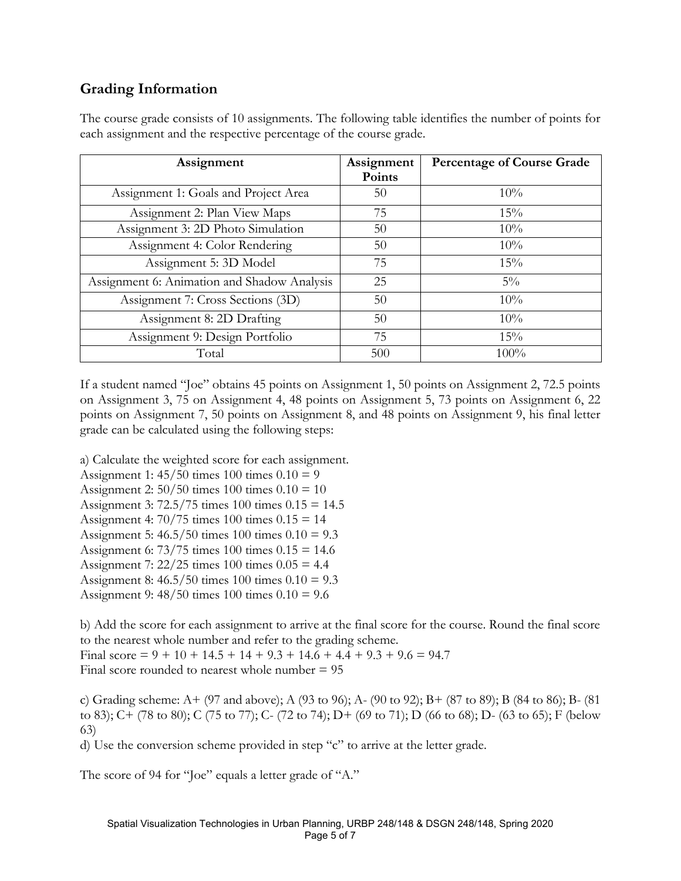## **Grading Information**

| Assignment                                  | Assignment<br>Points | <b>Percentage of Course Grade</b> |
|---------------------------------------------|----------------------|-----------------------------------|
| Assignment 1: Goals and Project Area        | 50                   | $10\%$                            |
| Assignment 2: Plan View Maps                | 75                   | 15%                               |
| Assignment 3: 2D Photo Simulation           | 50                   | 10%                               |
| Assignment 4: Color Rendering               | 50                   | 10%                               |
| Assignment 5: 3D Model                      | 75                   | 15%                               |
| Assignment 6: Animation and Shadow Analysis | 25                   | $5\%$                             |
| Assignment 7: Cross Sections (3D)           | 50                   | 10%                               |
| Assignment 8: 2D Drafting                   | 50                   | 10%                               |
| Assignment 9: Design Portfolio              | 75                   | 15%                               |
| Total                                       | 500                  | $100\%$                           |

The course grade consists of 10 assignments. The following table identifies the number of points for each assignment and the respective percentage of the course grade.

If a student named "Joe" obtains 45 points on Assignment 1, 50 points on Assignment 2, 72.5 points on Assignment 3, 75 on Assignment 4, 48 points on Assignment 5, 73 points on Assignment 6, 22 points on Assignment 7, 50 points on Assignment 8, and 48 points on Assignment 9, his final letter grade can be calculated using the following steps:

a) Calculate the weighted score for each assignment.

Assignment 1:  $45/50$  times  $100$  times  $0.10 = 9$ 

- Assignment 2:  $50/50$  times  $100$  times  $0.10 = 10$
- Assignment 3: 72.5/75 times 100 times 0.15 = 14.5
- Assignment 4:  $70/75$  times  $100$  times  $0.15 = 14$

Assignment 5: 46.5/50 times 100 times 0.10 = 9.3

- Assignment 6:  $73/75$  times 100 times  $0.15 = 14.6$
- Assignment 7:  $22/25$  times 100 times  $0.05 = 4.4$
- Assignment 8: 46.5/50 times 100 times 0.10 = 9.3
- Assignment 9: 48/50 times 100 times 0.10 = 9.6

b) Add the score for each assignment to arrive at the final score for the course. Round the final score to the nearest whole number and refer to the grading scheme. Final score =  $9 + 10 + 14.5 + 14 + 9.3 + 14.6 + 4.4 + 9.3 + 9.6 = 94.7$ Final score rounded to nearest whole number  $= 95$ 

c) Grading scheme: A+ (97 and above); A (93 to 96); A- (90 to 92); B+ (87 to 89); B (84 to 86); B- (81 to 83); C+ (78 to 80); C (75 to 77); C- (72 to 74); D+ (69 to 71); D (66 to 68); D- (63 to 65); F (below 63)

d) Use the conversion scheme provided in step "c" to arrive at the letter grade.

The score of 94 for "Joe" equals a letter grade of "A."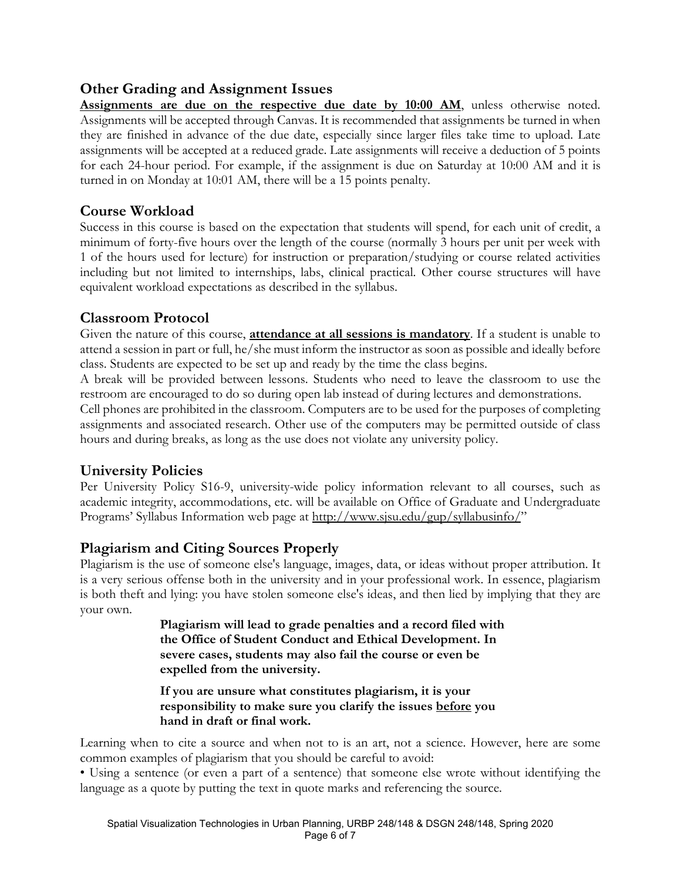### **Other Grading and Assignment Issues**

**Assignments are due on the respective due date by 10:00 AM**, unless otherwise noted. Assignments will be accepted through Canvas. It is recommended that assignments be turned in when they are finished in advance of the due date, especially since larger files take time to upload. Late assignments will be accepted at a reduced grade. Late assignments will receive a deduction of 5 points for each 24-hour period. For example, if the assignment is due on Saturday at 10:00 AM and it is turned in on Monday at 10:01 AM, there will be a 15 points penalty.

### **Course Workload**

Success in this course is based on the expectation that students will spend, for each unit of credit, a minimum of forty-five hours over the length of the course (normally 3 hours per unit per week with 1 of the hours used for lecture) for instruction or preparation/studying or course related activities including but not limited to internships, labs, clinical practical. Other course structures will have equivalent workload expectations as described in the syllabus.

### **Classroom Protocol**

Given the nature of this course, **attendance at all sessions is mandatory**. If a student is unable to attend a session in part or full, he/she must inform the instructor as soon as possible and ideally before class. Students are expected to be set up and ready by the time the class begins.

A break will be provided between lessons. Students who need to leave the classroom to use the restroom are encouraged to do so during open lab instead of during lectures and demonstrations.

Cell phones are prohibited in the classroom. Computers are to be used for the purposes of completing assignments and associated research. Other use of the computers may be permitted outside of class hours and during breaks, as long as the use does not violate any university policy.

### **University Policies**

Per University Policy S16-9, university-wide policy information relevant to all courses, such as academic integrity, accommodations, etc. will be available on Office of Graduate and Undergraduate Programs' Syllabus Information web page at http://www.sjsu.edu/gup/syllabusinfo/"

### **Plagiarism and Citing Sources Properly**

Plagiarism is the use of someone else's language, images, data, or ideas without proper attribution. It is a very serious offense both in the university and in your professional work. In essence, plagiarism is both theft and lying: you have stolen someone else's ideas, and then lied by implying that they are your own.

> **Plagiarism will lead to grade penalties and a record filed with the Office of Student Conduct and Ethical Development. In severe cases, students may also fail the course or even be expelled from the university.**

**If you are unsure what constitutes plagiarism, it is your responsibility to make sure you clarify the issues before you hand in draft or final work.** 

Learning when to cite a source and when not to is an art, not a science. However, here are some common examples of plagiarism that you should be careful to avoid:

• Using a sentence (or even a part of a sentence) that someone else wrote without identifying the language as a quote by putting the text in quote marks and referencing the source.